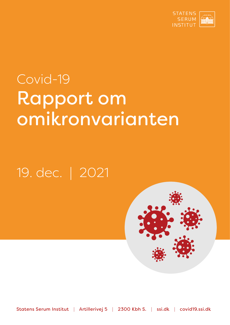

# Covid-19 Rapport om omikronvarianten

## 19. dec. | 2021



Statens Serum Institut | Artillerivej 5 | 2300 Kbh S. | ssi.dk | covid19.ssi.dk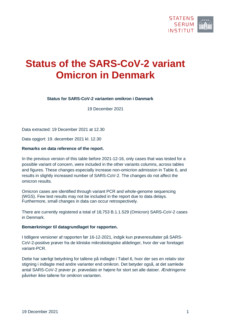

### **Status of the SARS-CoV-2 variant Omicron in Denmark**

#### **Status for SARS-CoV-2 varianten omikron i Danmark**

19 December 2021

Data extracted: 19 December 2021 at 12.30

Data opgjort: 19. december 2021 kl. 12.30

#### **Remarks on data reference of the report.**

In the previous version of this table before 2021-12-16, only cases that was tested for a possible variant of concern, were included in the other variants columns, across tables and figures. These changes especially increase non-omicrion admission in Table 6, and results in slightly increased number of SARS-CoV-2. The changes do not affect the omicron results.

Omicron cases are identified through variant PCR and whole-genome sequencing (WGS). Few test results may not be included in the report due to data delays. Furthermore, small changes in data can occur retrospectively.

There are currently registered a total of 18,753 B.1.1.529 (Omicron) SARS-CoV-2 cases in Denmark.

#### **Bemærkninger til datagrundlaget for rapporten.**

I tidligere versioner af rapporten før 16-12-2021, indgik kun prøveresultater på SARS-CoV-2-positive prøver fra de kliniske mikrobiologiske afdelinger, hvor der var foretaget variant-PCR.

Dette har særligt betydning for tallene på indlagte i Tabel 6, hvor der ses en relativ stor stigning i indlagte med andre varianter end omikron. Det betyder også, at det samlede antal SARS-CoV-2 prøver pr. prøvedato er højere for stort set alle datoer. Ændringerne påvirker ikke tallene for omikron varianten.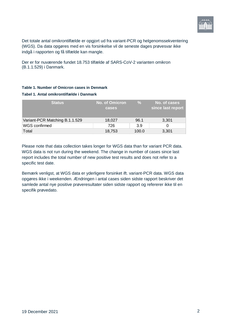

Det totale antal omikrontilfælde er opgjort ud fra variant-PCR og helgenomssekventering (WGS). Da data opgøres med en vis forsinkelse vil de seneste dages prøvesvar ikke indgå i rapporten og få tilfælde kan mangle.

Der er for nuværende fundet 18.753 tilfælde af SARS-CoV-2 varianten omikron (B.1.1.529) i Danmark.

#### **Table 1. Number of Omicron cases in Denmark Tabel 1. Antal omikrontilfælde i Danmark**

| <b>Status</b>                  | <b>No. of Omicron</b><br>cases | $\frac{9}{6}$ | No. of cases<br>since last report |
|--------------------------------|--------------------------------|---------------|-----------------------------------|
| Variant-PCR Matching B.1.1.529 | 18,027                         | 96.1          | 3,301                             |
| WGS confirmed                  | 726                            | 3.9           |                                   |
| Total                          | 18.753                         | 100.0         | 3,301                             |

Please note that data collection takes longer for WGS data than for variant PCR data. WGS data is not run during the weekend. The change in number of cases since last report includes the total number of new positive test results and does not refer to a specific test date.

Bemærk venligst, at WGS data er yderligere forsinket ift. variant-PCR data. WGS data opgøres ikke i weekenden. Ændringen i antal cases siden sidste rapport beskriver det samlede antal nye positive prøveresultater siden sidste rapport og refererer ikke til en specifik prøvedato.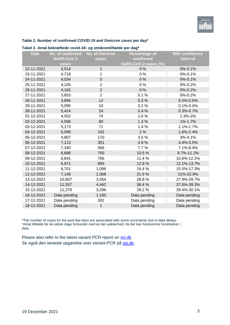#### **Table 2. Number of confirmed COVID-19 and Omicron cases per day\***

| <b>SARS-CoV-2</b><br>confirmed<br>interval<br>cases<br>SARS-CoV-2 cases (%)<br>cases<br>0%<br>0%-0.1%<br>22-11-2021<br>4,514<br>$\mathbf{1}$<br>0%<br>23-11-2021<br>1<br>0%-0.1%<br>4,718<br>24-11-2021<br>4,034<br>$\boldsymbol{0}$<br>0%<br>0%-0.1%<br>0%<br>25-11-2021<br>4,105<br>$\overline{2}$<br>0%-0.2%<br>$\overline{2}$<br>26-11-2021<br>0%<br>4,162<br>0%-0.2%<br>$\overline{2}$<br>27-11-2021<br>0.1%<br>3,853<br>0%-0.2% |
|---------------------------------------------------------------------------------------------------------------------------------------------------------------------------------------------------------------------------------------------------------------------------------------------------------------------------------------------------------------------------------------------------------------------------------------|
|                                                                                                                                                                                                                                                                                                                                                                                                                                       |
|                                                                                                                                                                                                                                                                                                                                                                                                                                       |
|                                                                                                                                                                                                                                                                                                                                                                                                                                       |
|                                                                                                                                                                                                                                                                                                                                                                                                                                       |
|                                                                                                                                                                                                                                                                                                                                                                                                                                       |
|                                                                                                                                                                                                                                                                                                                                                                                                                                       |
|                                                                                                                                                                                                                                                                                                                                                                                                                                       |
|                                                                                                                                                                                                                                                                                                                                                                                                                                       |
| 28-11-2021<br>12<br>0.3%<br>3,894<br>$0.2\% - 0.5\%$                                                                                                                                                                                                                                                                                                                                                                                  |
| 0.2%<br>29-11-2021<br>10<br>$0.1\% - 0.4\%$<br>5,095                                                                                                                                                                                                                                                                                                                                                                                  |
| 30-11-2021<br>5,424<br>24<br>0.4%<br>0.3%-0.7%                                                                                                                                                                                                                                                                                                                                                                                        |
| 01-12-2021<br>4,552<br>74<br>1.6%<br>1.3%-2%                                                                                                                                                                                                                                                                                                                                                                                          |
| 1.3%<br>1%-1.7%<br>02-12-2021<br>4,596<br>60                                                                                                                                                                                                                                                                                                                                                                                          |
| 1.4%<br>1.1%-1.7%<br>03-12-2021<br>71<br>5,173                                                                                                                                                                                                                                                                                                                                                                                        |
| 04-12-2021<br>5,099<br>102<br>2%<br>1.6%-2.4%                                                                                                                                                                                                                                                                                                                                                                                         |
| 3.5%<br>05-12-2021<br>4,807<br>170<br>3%-4.1%                                                                                                                                                                                                                                                                                                                                                                                         |
| 06-12-2021<br>7,113<br>351<br>4.9%<br>4.4%-5.5%                                                                                                                                                                                                                                                                                                                                                                                       |
| 7,340<br>566<br>7.7%<br>7.1%-8.4%<br>07-12-2021                                                                                                                                                                                                                                                                                                                                                                                       |
| 08-12-2021<br>6,688<br>700<br>10.5%<br>9.7%-11.2%                                                                                                                                                                                                                                                                                                                                                                                     |
| 756<br>11.4 %<br>10.6%-12.2%<br>09-12-2021<br>6,641                                                                                                                                                                                                                                                                                                                                                                                   |
| 10-12-2021<br>6,971<br>895<br>12.8%<br>12.1%-13.7%                                                                                                                                                                                                                                                                                                                                                                                    |
| 16.4%<br>6,701<br>1,096<br>15.5%-17.3%<br>11-12-2021                                                                                                                                                                                                                                                                                                                                                                                  |
| 21.9%<br>12-12-2021<br>7,148<br>1,568<br>21%-22.9%                                                                                                                                                                                                                                                                                                                                                                                    |
| 3,054<br>28.8%<br>13-12-2021<br>10,607<br>27.9%-29.7%                                                                                                                                                                                                                                                                                                                                                                                 |
| 14-12-2021<br>4,442<br>11,557<br>38.4%<br>37.6%-39.3%                                                                                                                                                                                                                                                                                                                                                                                 |
| 15-12-2021<br>11,278<br>3,296<br>29.2%<br>28.4%-30.1%                                                                                                                                                                                                                                                                                                                                                                                 |
| 16-12-2021<br>Data pending<br>1,195<br>Data pending<br>Data pending                                                                                                                                                                                                                                                                                                                                                                   |
| 17-12-2021<br>Data pending<br>302<br>Data pending<br>Data pending                                                                                                                                                                                                                                                                                                                                                                     |
| 18-12-2021<br>Data pending<br>$\mathbf{1}$<br>Data pending<br>Data pending                                                                                                                                                                                                                                                                                                                                                            |

#### **Tabel 2. Antal bekræftede covid-19- og omikrontilfælde per dag\***

\*The number of cases for the past few days are associated with some uncertainty due to data delays. \*Antal tilfælde for de sidste dage forbundet med en del usikkerhed, da der kan forekomme forsinkelser i data.

Please also refer to the latest variant PCR report on [ssi.dk.](https://covid19.ssi.dk/virusvarianter/delta-pcr) Se også den seneste opgørelse over variant-PCR på [ssi.dk.](https://covid19.ssi.dk/virusvarianter/delta-pcr)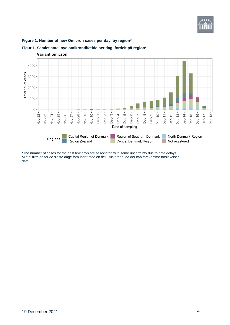

#### **Figure 1. Number of new Omicron cases per day, by region\***



#### **Figur 1. Samlet antal nye omikrontilfælde per dag, fordelt på region\***

\*The number of cases for the past few days are associated with some uncertainty due to data delays. \*Antal tilfælde for de sidste dage forbundet med en del usikkerhed, da der kan forekomme forsinkelser i data.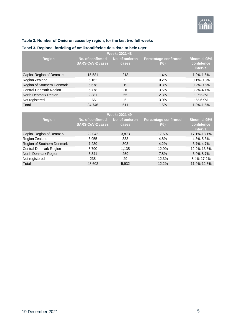

#### **Table 3. Number of Omicron cases by region, for the last two full weeks**

#### **Tabel 3. Regional fordeling af omikrontilfælde de sidste to hele uger**

| Week: 2021-48              |                                             |                         |                                        |                                               |  |
|----------------------------|---------------------------------------------|-------------------------|----------------------------------------|-----------------------------------------------|--|
| <b>Region</b>              | No. of confirmed<br><b>SARS-CoV-2 cases</b> | No. of omicron<br>cases | <b>Percentage confirmed</b><br>$(\% )$ | <b>Binomial 95%</b><br>confidence<br>interval |  |
| Capital Region of Denmark  | 15,581                                      | 213                     | $1.4\%$                                | 1.2%-1.6%                                     |  |
| Region Zealand             | 5,162                                       | 9                       | 0.2%                                   | $0.1\% - 0.3\%$                               |  |
| Region of Southern Denmark | 5,678                                       | 19                      | 0.3%                                   | $0.2\% - 0.5\%$                               |  |
| Central Denmark Region     | 5,778                                       | 210                     | 3.6%                                   | $3.2\% - 4.1\%$                               |  |
| North Denmark Region       | 2,381                                       | 55                      | 2.3%                                   | $1.7\% - 3\%$                                 |  |
| Not registered             | 166                                         | 5                       | 3.0%                                   | 1%-6.9%                                       |  |
| Total                      | 34,746                                      | 511                     | 1.5%                                   | 1.3%-1.6%                                     |  |

| Week: 2021-49              |                         |                |                             |                     |  |
|----------------------------|-------------------------|----------------|-----------------------------|---------------------|--|
| <b>Region</b>              | No. of confirmed        | No. of omicron | <b>Percentage confirmed</b> | <b>Binomial 95%</b> |  |
|                            | <b>SARS-CoV-2 cases</b> | cases          | $(\% )$                     | confidence          |  |
|                            |                         |                |                             | interval            |  |
| Capital Region of Denmark  | 22,042                  | 3,873          | 17.6%                       | 17.1%-18.1%         |  |
| Region Zealand             | 6,955                   | 333            | 4.8%                        | 4.3%-5.3%           |  |
| Region of Southern Denmark | 7,239                   | 303            | 4.2%                        | $3.7\% - 4.7\%$     |  |
| Central Denmark Region     | 8,790                   | 1,135          | 12.9%                       | 12.2%-13.6%         |  |
| North Denmark Region       | 3,341                   | 259            | 7.8%                        | $6.9\% - 8.7\%$     |  |
| Not registered             | 235                     | 29             | 12.3%                       | 8.4%-17.2%          |  |
| Total                      | 48,602                  | 5,932          | 12.2%                       | 11.9%-12.5%         |  |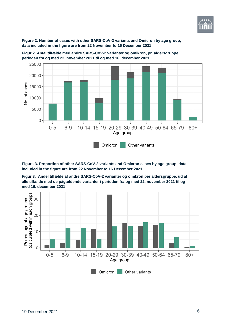

**Figure 2. Number of cases with other SARS-CoV-2 variants and Omicron by age group, data included in the figure are from 22 November to 16 December 2021**



**Figur 2. Antal tilfælde med andre SARS-CoV-2 varianter og omikron, pr. aldersgruppe i perioden fra og med 22. november 2021 til og med 16. december 2021**

**Figure 3. Proportion of other SARS-CoV-2 variants and Omicron cases by age group, data included in the figure are from 22 November to 16 December 2021**

**Figur 3. Andel tilfælde af andre SARS-CoV-2 varianter og omikron per aldersgruppe, ud af alle tilfælde med de pågældende varianter i perioden fra og med 22. november 2021 til og med 16. december 2021**

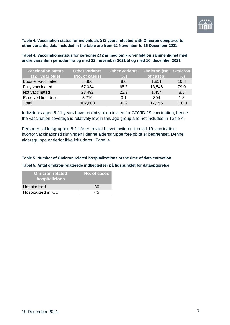

<span id="page-7-0"></span>**Table 4. Vaccination status for individuals ≥12 years infected with Omicron compared to other variants, data included in the table are from 22 November to 16 December 2021**

<span id="page-7-1"></span>**Tabel 4. Vaccinationsstatus for personer ≥12 år med omikron-infektion sammenlignet med andre varianter i perioden fra og med 22. november 2021 til og med 16. december 2021**

| Vaccination status         | <b>Other variants</b> | <b>Other variants</b> | <b>Omicron (No. Omicron</b> |       |
|----------------------------|-----------------------|-----------------------|-----------------------------|-------|
| $(12 + year$ olds)         | (No. of cases)        | (%)                   | of cases)                   | (%)   |
| Booster vaccinated         | 8,866                 | 8.6                   | 1,851                       | 10.8  |
| Fully vaccinated           | 67,034                | 65.3                  | 13,546                      | 79.0  |
| Not vaccinated             | 23,492                | 22.9                  | 1,454                       | 8.5   |
| <b>Received first dose</b> | 3,216                 | 3.1                   | 304                         | 1.8   |
| Total                      | 102,608               | 99.9                  | 17,155                      | 100.0 |

Individuals aged 5-11 years have recently been invited for COVID-19 vaccination, hence the vaccination coverage is relatively low in this age group and not included in [Table 4.](#page-7-0)

Personer i aldersgruppen 5-11 år er frnyligt blevet inviteret til covid-19-vaccination, hvorfor vaccinationstilslutningen i denne aldersgruppe foreløbigt er begrænset. Denne aldersgruppe er derfor ikke inkluderet i [Tabel 4.](#page-7-1)

#### **Table 5. Number of Omicron related hospitalizations at the time of data extraction**

**Tabel 5. Antal omikron-relaterede indlæggelser på tidspunktet for dataopgørelse**

| <b>Omicron related</b><br>hospitalizions | No. of cases |
|------------------------------------------|--------------|
| Hospitalized                             | 30           |
| Hospitalized in ICU                      | rh           |